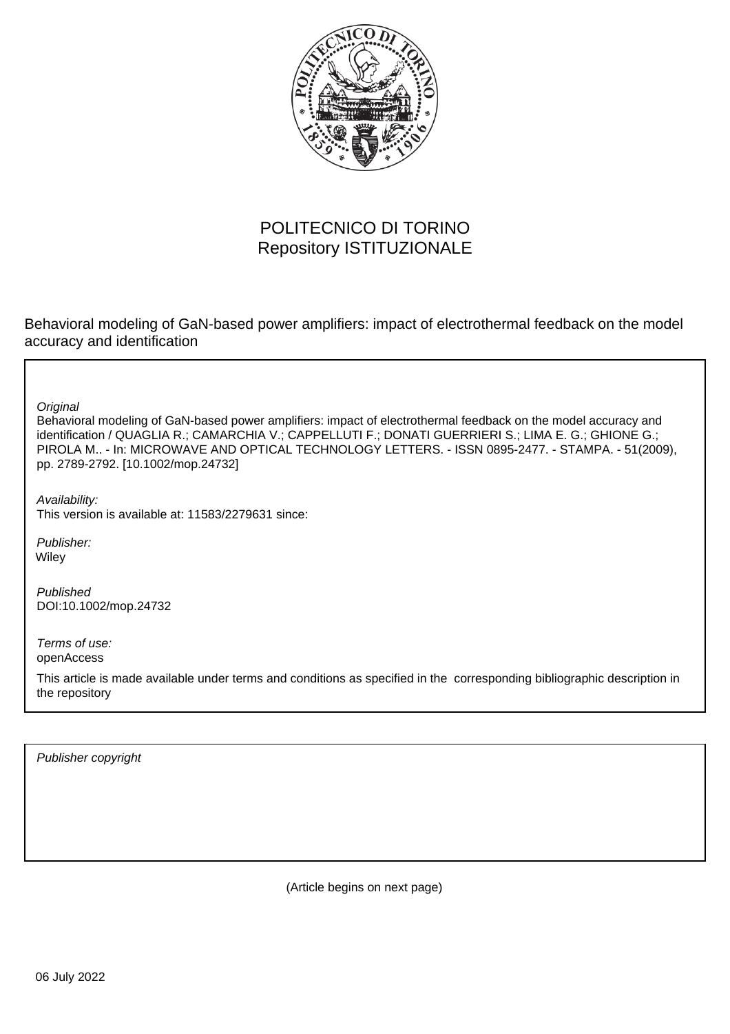

# POLITECNICO DI TORINO Repository ISTITUZIONALE

Behavioral modeling of GaN-based power amplifiers: impact of electrothermal feedback on the model accuracy and identification

**Original** 

Behavioral modeling of GaN-based power amplifiers: impact of electrothermal feedback on the model accuracy and identification / QUAGLIA R.; CAMARCHIA V.; CAPPELLUTI F.; DONATI GUERRIERI S.; LIMA E. G.; GHIONE G.; PIROLA M.. - In: MICROWAVE AND OPTICAL TECHNOLOGY LETTERS. - ISSN 0895-2477. - STAMPA. - 51(2009), pp. 2789-2792. [10.1002/mop.24732]

Availability:

This version is available at: 11583/2279631 since:

Publisher: **Wiley** 

Published DOI:10.1002/mop.24732

Terms of use: openAccess

This article is made available under terms and conditions as specified in the corresponding bibliographic description in the repository

Publisher copyright

(Article begins on next page)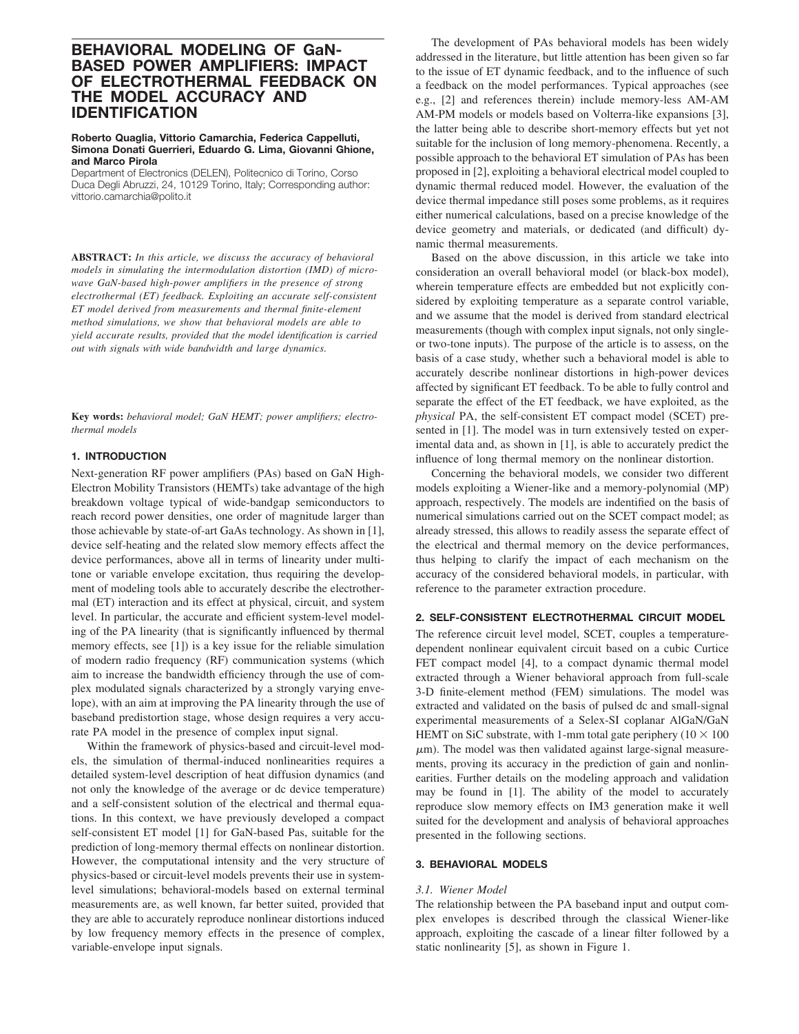# **BEHAVIORAL MODELING OF GaN-BASED POWER AMPLIFIERS: IMPACT OF ELECTROTHERMAL FEEDBACK ON THE MODEL ACCURACY AND IDENTIFICATION**

#### **Roberto Quaglia, Vittorio Camarchia, Federica Cappelluti, Simona Donati Guerrieri, Eduardo G. Lima, Giovanni Ghione, and Marco Pirola**

Department of Electronics (DELEN), Politecnico di Torino, Corso Duca Degli Abruzzi, 24, 10129 Torino, Italy; Corresponding author: vittorio.camarchia@polito.it

**ABSTRACT:** *In this article, we discuss the accuracy of behavioral models in simulating the intermodulation distortion (IMD) of microwave GaN-based high-power amplifiers in the presence of strong electrothermal (ET) feedback. Exploiting an accurate self-consistent ET model derived from measurements and thermal finite-element method simulations, we show that behavioral models are able to yield accurate results, provided that the model identification is carried out with signals with wide bandwidth and large dynamics.* 

**Key words:** *behavioral model; GaN HEMT; power amplifiers; electrothermal models*

## **1. INTRODUCTION**

Next-generation RF power amplifiers (PAs) based on GaN High-Electron Mobility Transistors (HEMTs) take advantage of the high breakdown voltage typical of wide-bandgap semiconductors to reach record power densities, one order of magnitude larger than those achievable by state-of-art GaAs technology. As shown in [1], device self-heating and the related slow memory effects affect the device performances, above all in terms of linearity under multitone or variable envelope excitation, thus requiring the development of modeling tools able to accurately describe the electrothermal (ET) interaction and its effect at physical, circuit, and system level. In particular, the accurate and efficient system-level modeling of the PA linearity (that is significantly influenced by thermal memory effects, see [1]) is a key issue for the reliable simulation of modern radio frequency (RF) communication systems (which aim to increase the bandwidth efficiency through the use of complex modulated signals characterized by a strongly varying envelope), with an aim at improving the PA linearity through the use of baseband predistortion stage, whose design requires a very accurate PA model in the presence of complex input signal.

Within the framework of physics-based and circuit-level models, the simulation of thermal-induced nonlinearities requires a detailed system-level description of heat diffusion dynamics (and not only the knowledge of the average or dc device temperature) and a self-consistent solution of the electrical and thermal equations. In this context, we have previously developed a compact self-consistent ET model [1] for GaN-based Pas, suitable for the prediction of long-memory thermal effects on nonlinear distortion. However, the computational intensity and the very structure of physics-based or circuit-level models prevents their use in systemlevel simulations; behavioral-models based on external terminal measurements are, as well known, far better suited, provided that they are able to accurately reproduce nonlinear distortions induced by low frequency memory effects in the presence of complex, variable-envelope input signals.

The development of PAs behavioral models has been widely addressed in the literature, but little attention has been given so far to the issue of ET dynamic feedback, and to the influence of such a feedback on the model performances. Typical approaches (see e.g., [2] and references therein) include memory-less AM-AM AM-PM models or models based on Volterra-like expansions [3], the latter being able to describe short-memory effects but yet not suitable for the inclusion of long memory-phenomena. Recently, a possible approach to the behavioral ET simulation of PAs has been proposed in [2], exploiting a behavioral electrical model coupled to dynamic thermal reduced model. However, the evaluation of the device thermal impedance still poses some problems, as it requires either numerical calculations, based on a precise knowledge of the device geometry and materials, or dedicated (and difficult) dynamic thermal measurements.

Based on the above discussion, in this article we take into consideration an overall behavioral model (or black-box model), wherein temperature effects are embedded but not explicitly considered by exploiting temperature as a separate control variable, and we assume that the model is derived from standard electrical measurements (though with complex input signals, not only singleor two-tone inputs). The purpose of the article is to assess, on the basis of a case study, whether such a behavioral model is able to accurately describe nonlinear distortions in high-power devices affected by significant ET feedback. To be able to fully control and separate the effect of the ET feedback, we have exploited, as the *physical* PA, the self-consistent ET compact model (SCET) presented in [1]. The model was in turn extensively tested on experimental data and, as shown in [1], is able to accurately predict the influence of long thermal memory on the nonlinear distortion.

Concerning the behavioral models, we consider two different models exploiting a Wiener-like and a memory-polynomial (MP) approach, respectively. The models are indentified on the basis of numerical simulations carried out on the SCET compact model; as already stressed, this allows to readily assess the separate effect of the electrical and thermal memory on the device performances, thus helping to clarify the impact of each mechanism on the accuracy of the considered behavioral models, in particular, with reference to the parameter extraction procedure.

## **2. SELF-CONSISTENT ELECTROTHERMAL CIRCUIT MODEL**

The reference circuit level model, SCET, couples a temperaturedependent nonlinear equivalent circuit based on a cubic Curtice FET compact model [4], to a compact dynamic thermal model extracted through a Wiener behavioral approach from full-scale 3-D finite-element method (FEM) simulations. The model was extracted and validated on the basis of pulsed dc and small-signal experimental measurements of a Selex-SI coplanar AlGaN/GaN HEMT on SiC substrate, with 1-mm total gate periphery ( $10 \times 100$ )  $\mu$ m). The model was then validated against large-signal measurements, proving its accuracy in the prediction of gain and nonlinearities. Further details on the modeling approach and validation may be found in [1]. The ability of the model to accurately reproduce slow memory effects on IM3 generation make it well suited for the development and analysis of behavioral approaches presented in the following sections.

#### **3. BEHAVIORAL MODELS**

#### *3.1. Wiener Model*

The relationship between the PA baseband input and output complex envelopes is described through the classical Wiener-like approach, exploiting the cascade of a linear filter followed by a static nonlinearity [5], as shown in Figure 1.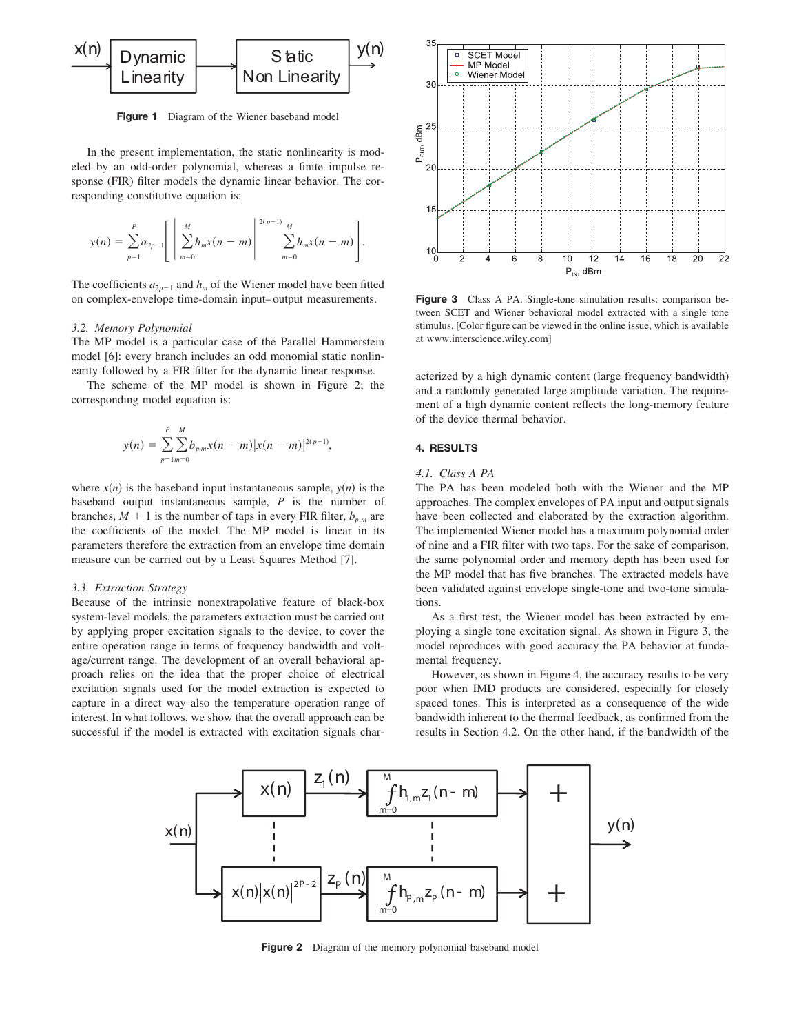

**Figure 1** Diagram of the Wiener baseband model

In the present implementation, the static nonlinearity is modeled by an odd-order polynomial, whereas a finite impulse response (FIR) filter models the dynamic linear behavior. The corresponding constitutive equation is:

$$
y(n) = \sum_{p=1}^{P} a_{2p-1} \Bigg[ \left| \sum_{m=0}^{M} h_m x(n-m) \right|^{2(p-1)} \sum_{m=0}^{M} h_m x(n-m) \Bigg].
$$

The coefficients  $a_{2p-1}$  and  $h_m$  of the Wiener model have been fitted on complex-envelope time-domain input– output measurements.

#### *3.2. Memory Polynomial*

The MP model is a particular case of the Parallel Hammerstein model [6]: every branch includes an odd monomial static nonlinearity followed by a FIR filter for the dynamic linear response.

The scheme of the MP model is shown in Figure 2; the corresponding model equation is:

$$
y(n) = \sum_{p=1}^{P} \sum_{m=0}^{M} b_{p,m} x(n-m) |x(n-m)|^{2(p-1)},
$$

where  $x(n)$  is the baseband input instantaneous sample,  $y(n)$  is the baseband output instantaneous sample, *P* is the number of branches,  $M + 1$  is the number of taps in every FIR filter,  $b_{p,m}$  are the coefficients of the model. The MP model is linear in its parameters therefore the extraction from an envelope time domain measure can be carried out by a Least Squares Method [7].

#### *3.3. Extraction Strategy*

Because of the intrinsic nonextrapolative feature of black-box system-level models, the parameters extraction must be carried out by applying proper excitation signals to the device, to cover the entire operation range in terms of frequency bandwidth and voltage/current range. The development of an overall behavioral approach relies on the idea that the proper choice of electrical excitation signals used for the model extraction is expected to capture in a direct way also the temperature operation range of interest. In what follows, we show that the overall approach can be successful if the model is extracted with excitation signals char-



Figure 3 Class A PA. Single-tone simulation results: comparison between SCET and Wiener behavioral model extracted with a single tone stimulus. [Color figure can be viewed in the online issue, which is available at www.interscience.wiley.com]

acterized by a high dynamic content (large frequency bandwidth) and a randomly generated large amplitude variation. The requirement of a high dynamic content reflects the long-memory feature of the device thermal behavior.

#### **4. RESULTS**

### *4.1. Class A PA*

The PA has been modeled both with the Wiener and the MP approaches. The complex envelopes of PA input and output signals have been collected and elaborated by the extraction algorithm. The implemented Wiener model has a maximum polynomial order of nine and a FIR filter with two taps. For the sake of comparison, the same polynomial order and memory depth has been used for the MP model that has five branches. The extracted models have been validated against envelope single-tone and two-tone simulations.

As a first test, the Wiener model has been extracted by employing a single tone excitation signal. As shown in Figure 3, the model reproduces with good accuracy the PA behavior at fundamental frequency.

However, as shown in Figure 4, the accuracy results to be very poor when IMD products are considered, especially for closely spaced tones. This is interpreted as a consequence of the wide bandwidth inherent to the thermal feedback, as confirmed from the results in Section 4.2. On the other hand, if the bandwidth of the



**Figure 2** Diagram of the memory polynomial baseband model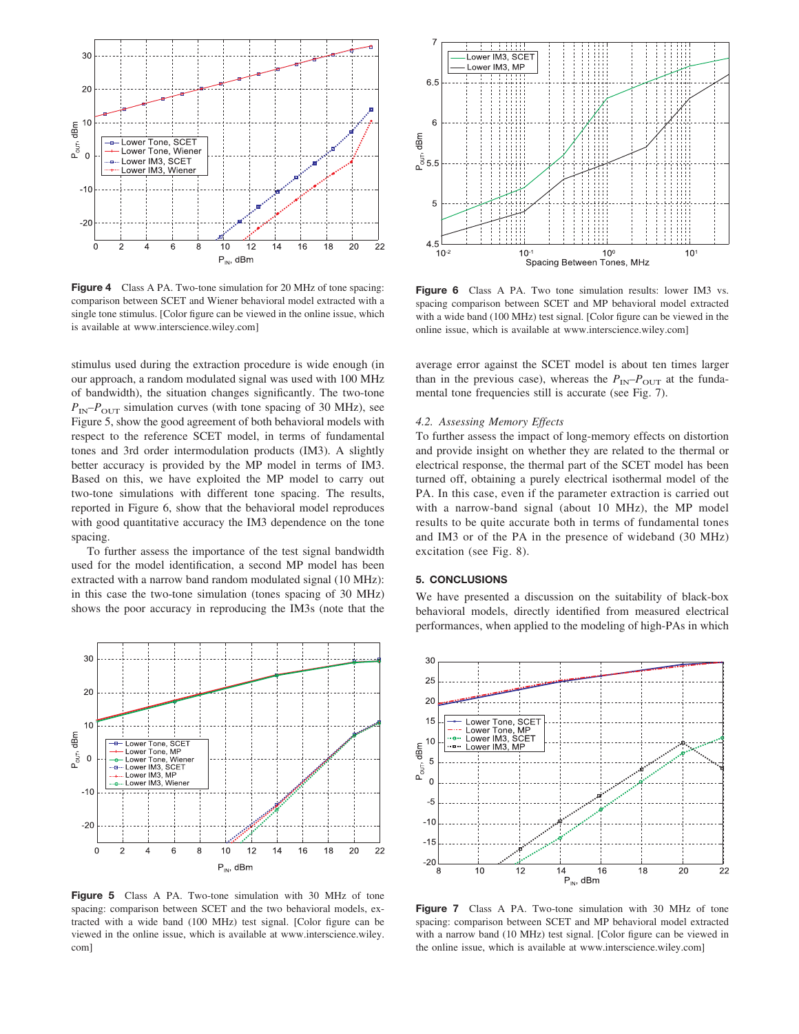

**Figure 4** Class A PA. Two-tone simulation for 20 MHz of tone spacing: comparison between SCET and Wiener behavioral model extracted with a single tone stimulus. [Color figure can be viewed in the online issue, which is available at www.interscience.wiley.com]

stimulus used during the extraction procedure is wide enough (in our approach, a random modulated signal was used with 100 MHz of bandwidth), the situation changes significantly. The two-tone  $P_{\text{IN}}-P_{\text{OUT}}$  simulation curves (with tone spacing of 30 MHz), see Figure 5, show the good agreement of both behavioral models with respect to the reference SCET model, in terms of fundamental tones and 3rd order intermodulation products (IM3). A slightly better accuracy is provided by the MP model in terms of IM3. Based on this, we have exploited the MP model to carry out two-tone simulations with different tone spacing. The results, reported in Figure 6, show that the behavioral model reproduces with good quantitative accuracy the IM3 dependence on the tone spacing.

To further assess the importance of the test signal bandwidth used for the model identification, a second MP model has been extracted with a narrow band random modulated signal (10 MHz): in this case the two-tone simulation (tones spacing of 30 MHz) shows the poor accuracy in reproducing the IM3s (note that the



**Figure 5** Class A PA. Two-tone simulation with 30 MHz of tone spacing: comparison between SCET and the two behavioral models, extracted with a wide band (100 MHz) test signal. [Color figure can be viewed in the online issue, which is available at www.interscience.wiley. com]



**Figure 6** Class A PA. Two tone simulation results: lower IM3 vs. spacing comparison between SCET and MP behavioral model extracted with a wide band (100 MHz) test signal. [Color figure can be viewed in the online issue, which is available at www.interscience.wiley.com]

average error against the SCET model is about ten times larger than in the previous case), whereas the  $P_{\text{IN}}-P_{\text{OUT}}$  at the fundamental tone frequencies still is accurate (see Fig. 7).

#### *4.2. Assessing Memory Effects*

To further assess the impact of long-memory effects on distortion and provide insight on whether they are related to the thermal or electrical response, the thermal part of the SCET model has been turned off, obtaining a purely electrical isothermal model of the PA. In this case, even if the parameter extraction is carried out with a narrow-band signal (about 10 MHz), the MP model results to be quite accurate both in terms of fundamental tones and IM3 or of the PA in the presence of wideband (30 MHz) excitation (see Fig. 8).

## **5. CONCLUSIONS**

We have presented a discussion on the suitability of black-box behavioral models, directly identified from measured electrical performances, when applied to the modeling of high-PAs in which



**Figure 7** Class A PA. Two-tone simulation with 30 MHz of tone spacing: comparison between SCET and MP behavioral model extracted with a narrow band (10 MHz) test signal. [Color figure can be viewed in the online issue, which is available at www.interscience.wiley.com]